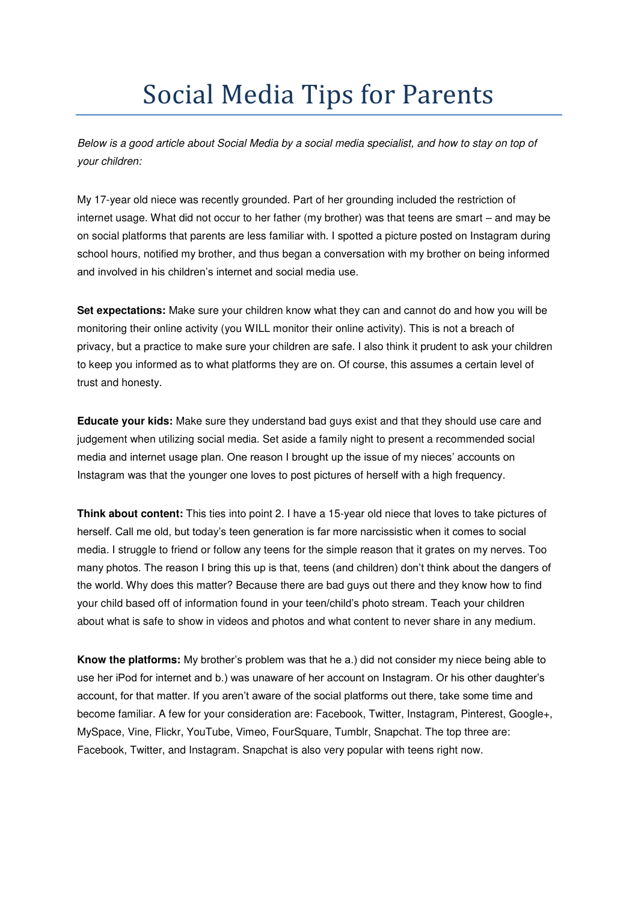## Social Media Tips for Parents

*Below is a good article about Social Media by a social media specialist, and how to stay on top of your children:* 

My 17-year old niece was recently grounded. Part of her grounding included the restriction of internet usage. What did not occur to her father (my brother) was that teens are smart – and may be on social platforms that parents are less familiar with. I spotted a picture posted on Instagram during school hours, notified my brother, and thus began a conversation with my brother on being informed and involved in his children's internet and social media use.

**Set expectations:** Make sure your children know what they can and cannot do and how you will be monitoring their online activity (you WILL monitor their online activity). This is not a breach of privacy, but a practice to make sure your children are safe. I also think it prudent to ask your children to keep you informed as to what platforms they are on. Of course, this assumes a certain level of trust and honesty.

**Educate your kids:** Make sure they understand bad guys exist and that they should use care and judgement when utilizing social media. Set aside a family night to present a recommended social media and internet usage plan. One reason I brought up the issue of my nieces' accounts on Instagram was that the younger one loves to post pictures of herself with a high frequency.

**Think about content:** This ties into point 2. I have a 15-year old niece that loves to take pictures of herself. Call me old, but today's teen generation is far more narcissistic when it comes to social media. I struggle to friend or follow any teens for the simple reason that it grates on my nerves. Too many photos. The reason I bring this up is that, teens (and children) don't think about the dangers of the world. Why does this matter? Because there are bad guys out there and they know how to find your child based off of information found in your teen/child's photo stream. Teach your children about what is safe to show in videos and photos and what content to never share in any medium.

**Know the platforms:** My brother's problem was that he a.) did not consider my niece being able to use her iPod for internet and b.) was unaware of her account on Instagram. Or his other daughter's account, for that matter. If you aren't aware of the social platforms out there, take some time and become familiar. A few for your consideration are: Facebook, Twitter, Instagram, Pinterest, Google+, MySpace, Vine, Flickr, YouTube, Vimeo, FourSquare, Tumblr, Snapchat. The top three are: Facebook, Twitter, and Instagram. Snapchat is also very popular with teens right now.